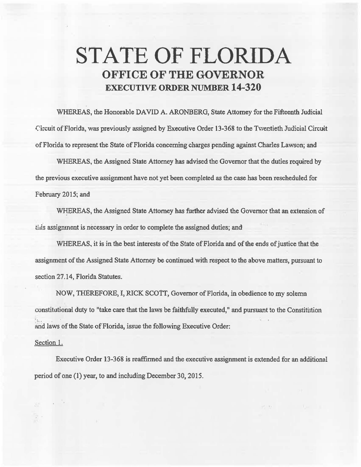## **STATE OF FLORIDA OFFICE OF THE GOVERNOR EXECUTIVE ORDER NUMBER 14-320**

WHEREAS, the Honorable DAVID A. ARONBERG, State Attorney for the Fifteenth Judicial Circuit of Florida, was previously assigned by Executive Order 13-368 to the Twentieth Judicial Circuit of Florida to represent the State of Florida concerning charges pending against Charles Lawson; and

WHEREAS, the Assigned State Attorney has advised the Governor that the duties required by the previous executive assignment have not yet been completed as the case has been rescheduled for February 2015; and

WHEREAS, the Assigned State Attorney has further advised the Governor that an extension of this assignment is necessary in order to complete the assigned duties; and

WHEREAS, it is in the best interests of the State of Florida and of the ends of justice that the assignment of the Assigned State Attorney be continued with respect to the above matters, pursuant to section 27.14, Florida Statutes.

NOW, THEREFORE, I, RICK SCOTT, Governor of Florida, in obedience to my solemn constitutional duty to "take care that the laws be faithfully executed," and pursuant to the Constitution · 1.<br>and laws of the State of Florida, issue the following Executive Order:

## Section 1.

Executive Order 13-368 is reaffirmed and the executive assignment is extended for an additional period of one (1) year, to and including December 30, 2015.